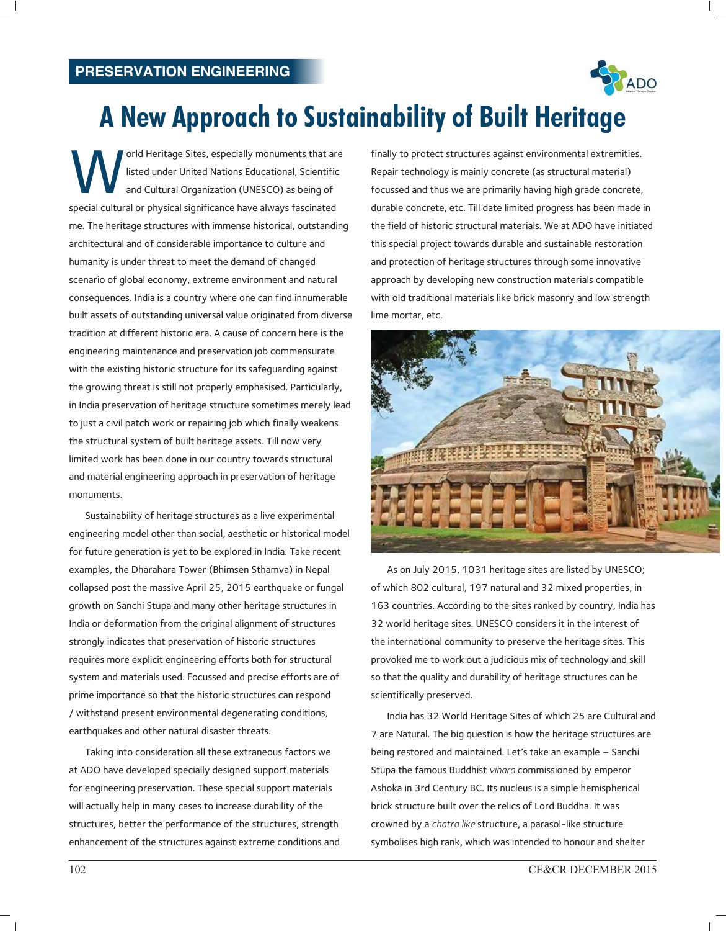

## **A New Approach to Sustainability of Built Heritage**

orld Heritage Sites, especially monuments that and listed under United Nations Educational, Scientificand Cultural Organization (UNESCO) as being of special cultural or physical significance have always fascinated orld Heritage Sites, especially monuments that are listed under United Nations Educational, Scientific and Cultural Organization (UNESCO) as being of me. The heritage structures with immense historical, outstanding architectural and of considerable importance to culture and humanity is under threat to meet the demand of changed scenario of global economy, extreme environment and natural consequences. India is a country where one can find innumerable built assets of outstanding universal value originated from diverse tradition at different historic era. A cause of concern here is the engineering maintenance and preservation job commensurate with the existing historic structure for its safeguarding against the growing threat is still not properly emphasised. Particularly, in India preservation of heritage structure sometimes merely lead to just a civil patch work or repairing job which finally weakens the structural system of built heritage assets. Till now very limited work has been done in our country towards structural and material engineering approach in preservation of heritage monuments.

Sustainability of heritage structures as a live experimental engineering model other than social, aesthetic or historical model for future generation is yet to be explored in India. Take recent examples, the Dharahara Tower (Bhimsen Sthamva) in Nepal collapsed post the massive April 25, 2015 earthquake or fungal growth on Sanchi Stupa and many other heritage structures in India or deformation from the original alignment of structures strongly indicates that preservation of historic structures requires more explicit engineering efforts both for structural system and materials used. Focussed and precise efforts are of prime importance so that the historic structures can respond / withstand present environmental degenerating conditions, earthquakes and other natural disaster threats.

Taking into consideration all these extraneous factors we at ADO have developed specially designed support materials for engineering preservation. These special support materials will actually help in many cases to increase durability of the structures, better the performance of the structures, strength enhancement of the structures against extreme conditions and finally to protect structures against environmental extremities. Repair technology is mainly concrete (as structural material) focussed and thus we are primarily having high grade concrete, durable concrete, etc. Till date limited progress has been made in the field of historic structural materials. We at ADO have initiated this special project towards durable and sustainable restoration and protection of heritage structures through some innovative approach by developing new construction materials compatible with old traditional materials like brick masonry and low strength lime mortar, etc.



As on July 2015, 1031 heritage sites are listed by UNESCO; of which 802 cultural, 197 natural and 32 mixed properties, in 163 countries. According to the sites ranked by country, India has 32 world heritage sites. UNESCO considers it in the interest of the international community to preserve the heritage sites. This provoked me to work out a judicious mix of technology and skill so that the quality and durability of heritage structures can be scientifically preserved.

India has 32 World Heritage Sites of which 25 are Cultural and 7 are Natural. The big question is how the heritage structures are being restored and maintained. Let's take an example – Sanchi Stupa the famous Buddhist *vihara* commissioned by emperor Ashoka in 3rd Century BC. Its nucleus is a simple hemispherical brick structure built over the relics of Lord Buddha. It was crowned by a *chatra like* structure, a parasol-like structure symbolises high rank, which was intended to honour and shelter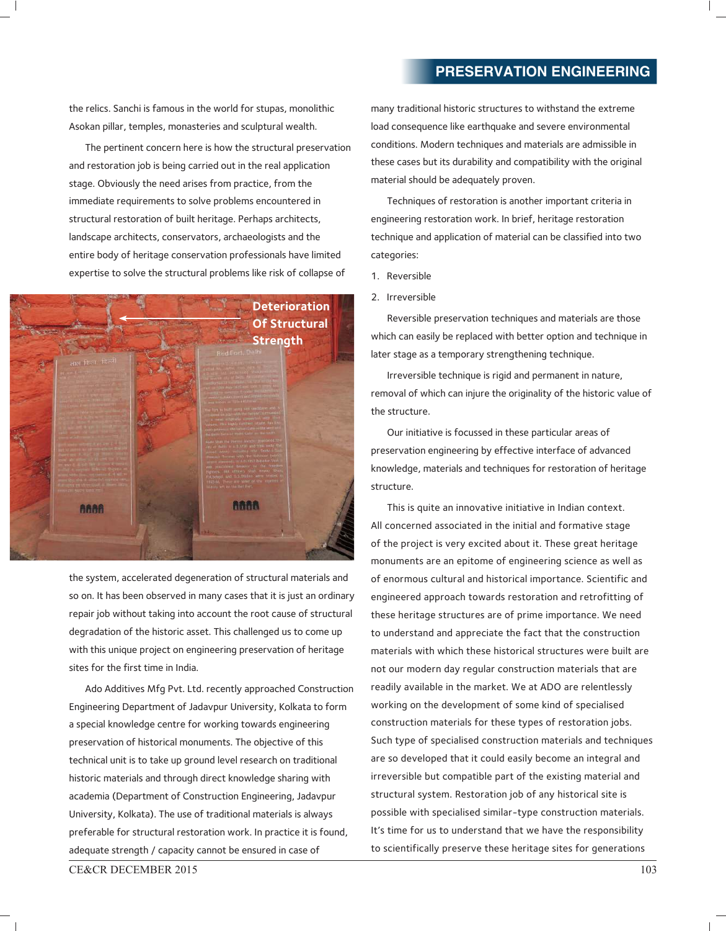## **Preservation engineering**

the relics. Sanchi is famous in the world for stupas, monolithic Asokan pillar, temples, monasteries and sculptural wealth.

The pertinent concern here is how the structural preservation and restoration job is being carried out in the real application stage. Obviously the need arises from practice, from the immediate requirements to solve problems encountered in structural restoration of built heritage. Perhaps architects, landscape architects, conservators, archaeologists and the entire body of heritage conservation professionals have limited expertise to solve the structural problems like risk of collapse of



the system, accelerated degeneration of structural materials and so on. It has been observed in many cases that it is just an ordinary repair job without taking into account the root cause of structural degradation of the historic asset. This challenged us to come up with this unique project on engineering preservation of heritage sites for the first time in India.

Ado Additives Mfg Pvt. Ltd. recently approached Construction Engineering Department of Jadavpur University, Kolkata to form a special knowledge centre for working towards engineering preservation of historical monuments. The objective of this technical unit is to take up ground level research on traditional historic materials and through direct knowledge sharing with academia (Department of Construction Engineering, Jadavpur University, Kolkata). The use of traditional materials is always preferable for structural restoration work. In practice it is found, adequate strength / capacity cannot be ensured in case of

many traditional historic structures to withstand the extreme load consequence like earthquake and severe environmental conditions. Modern techniques and materials are admissible in these cases but its durability and compatibility with the original material should be adequately proven.

Techniques of restoration is another important criteria in engineering restoration work. In brief, heritage restoration technique and application of material can be classified into two categories:

- 1. Reversible
- 2. Irreversible

Reversible preservation techniques and materials are those which can easily be replaced with better option and technique in later stage as a temporary strengthening technique.

Irreversible technique is rigid and permanent in nature, removal of which can injure the originality of the historic value of the structure.

Our initiative is focussed in these particular areas of preservation engineering by effective interface of advanced knowledge, materials and techniques for restoration of heritage structure.

This is quite an innovative initiative in Indian context. All concerned associated in the initial and formative stage of the project is very excited about it. These great heritage monuments are an epitome of engineering science as well as of enormous cultural and historical importance. Scientific and engineered approach towards restoration and retrofitting of these heritage structures are of prime importance. We need to understand and appreciate the fact that the construction materials with which these historical structures were built are not our modern day regular construction materials that are readily available in the market. We at ADO are relentlessly working on the development of some kind of specialised construction materials for these types of restoration jobs. Such type of specialised construction materials and techniques are so developed that it could easily become an integral and irreversible but compatible part of the existing material and structural system. Restoration job of any historical site is possible with specialised similar-type construction materials. It's time for us to understand that we have the responsibility to scientifically preserve these heritage sites for generations

CE&CR DECEMBER 2015 103